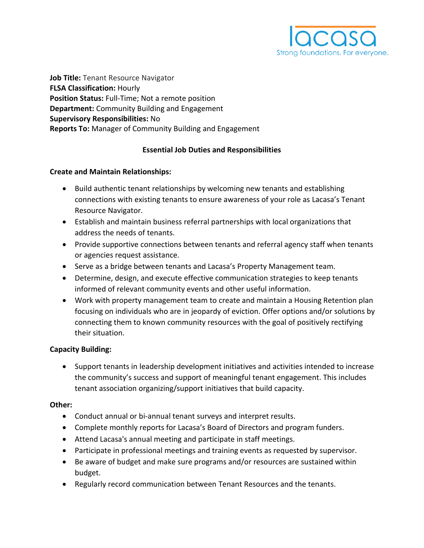

**Job Title:** Tenant Resource Navigator **FLSA Classification:** Hourly **Position Status:** Full-Time; Not a remote position **Department:** Community Building and Engagement **Supervisory Responsibilities:** No **Reports To:** Manager of Community Building and Engagement

### **Essential Job Duties and Responsibilities**

#### **Create and Maintain Relationships:**

- Build authentic tenant relationships by welcoming new tenants and establishing connections with existing tenants to ensure awareness of your role as Lacasa's Tenant Resource Navigator.
- Establish and maintain business referral partnerships with local organizations that address the needs of tenants.
- Provide supportive connections between tenants and referral agency staff when tenants or agencies request assistance.
- Serve as a bridge between tenants and Lacasa's Property Management team.
- Determine, design, and execute effective communication strategies to keep tenants informed of relevant community events and other useful information.
- Work with property management team to create and maintain a Housing Retention plan focusing on individuals who are in jeopardy of eviction. Offer options and/or solutions by connecting them to known community resources with the goal of positively rectifying their situation.

#### **Capacity Building:**

• Support tenants in leadership development initiatives and activities intended to increase the community's success and support of meaningful tenant engagement. This includes tenant association organizing/support initiatives that build capacity.

#### **Other:**

- Conduct annual or bi-annual tenant surveys and interpret results.
- Complete monthly reports for Lacasa's Board of Directors and program funders.
- Attend Lacasa's annual meeting and participate in staff meetings.
- Participate in professional meetings and training events as requested by supervisor.
- Be aware of budget and make sure programs and/or resources are sustained within budget.
- Regularly record communication between Tenant Resources and the tenants.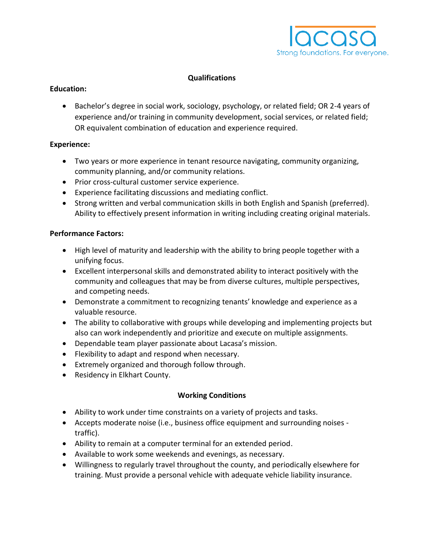

# **Qualifications**

#### **Education:**

• Bachelor's degree in social work, sociology, psychology, or related field; OR 2-4 years of experience and/or training in community development, social services, or related field; OR equivalent combination of education and experience required.

### **Experience:**

- Two years or more experience in tenant resource navigating, community organizing, community planning, and/or community relations.
- Prior cross-cultural customer service experience.
- Experience facilitating discussions and mediating conflict.
- Strong written and verbal communication skills in both English and Spanish (preferred). Ability to effectively present information in writing including creating original materials.

### **Performance Factors:**

- High level of maturity and leadership with the ability to bring people together with a unifying focus.
- Excellent interpersonal skills and demonstrated ability to interact positively with the community and colleagues that may be from diverse cultures, multiple perspectives, and competing needs.
- Demonstrate a commitment to recognizing tenants' knowledge and experience as a valuable resource.
- The ability to collaborative with groups while developing and implementing projects but also can work independently and prioritize and execute on multiple assignments.
- Dependable team player passionate about Lacasa's mission.
- Flexibility to adapt and respond when necessary.
- Extremely organized and thorough follow through.
- Residency in Elkhart County.

# **Working Conditions**

- Ability to work under time constraints on a variety of projects and tasks.
- Accepts moderate noise (i.e., business office equipment and surrounding noises traffic).
- Ability to remain at a computer terminal for an extended period.
- Available to work some weekends and evenings, as necessary.
- Willingness to regularly travel throughout the county, and periodically elsewhere for training. Must provide a personal vehicle with adequate vehicle liability insurance.